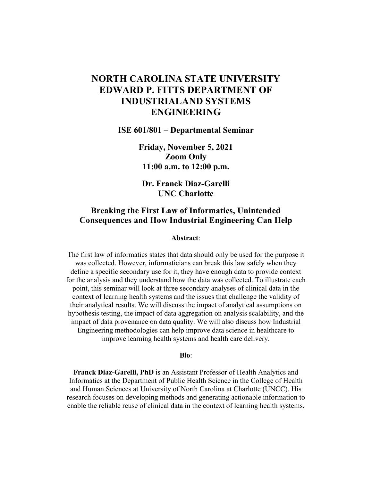## **NORTH CAROLINA STATE UNIVERSITY EDWARD P. FITTS DEPARTMENT OF INDUSTRIALAND SYSTEMS ENGINEERING**

**ISE 601/801 – Departmental Seminar**

**Friday, November 5, 2021 Zoom Only 11:00 a.m. to 12:00 p.m.**

**Dr. Franck Diaz-Garelli UNC Charlotte**

## **Breaking the First Law of Informatics, Unintended Consequences and How Industrial Engineering Can Help**

## **Abstract**:

The first law of informatics states that data should only be used for the purpose it was collected. However, informaticians can break this law safely when they define a specific secondary use for it, they have enough data to provide context for the analysis and they understand how the data was collected. To illustrate each point, this seminar will look at three secondary analyses of clinical data in the context of learning health systems and the issues that challenge the validity of their analytical results. We will discuss the impact of analytical assumptions on hypothesis testing, the impact of data aggregation on analysis scalability, and the impact of data provenance on data quality. We will also discuss how Industrial Engineering methodologies can help improve data science in healthcare to improve learning health systems and health care delivery.

## **Bio**:

**Franck Diaz-Garelli, PhD** is an Assistant Professor of Health Analytics and Informatics at the Department of Public Health Science in the College of Health and Human Sciences at University of North Carolina at Charlotte (UNCC). His research focuses on developing methods and generating actionable information to enable the reliable reuse of clinical data in the context of learning health systems.